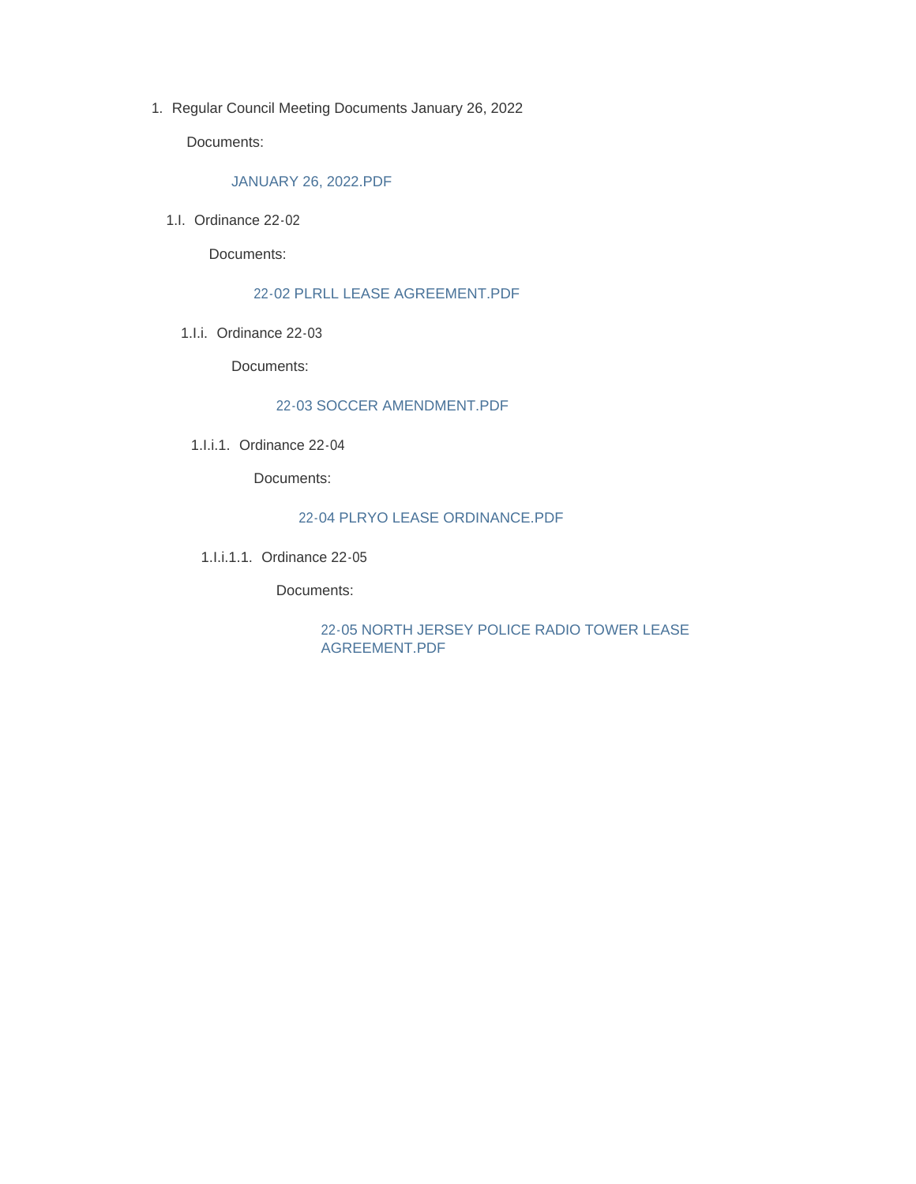1. Regular Council Meeting Documents January 26, 2022

Documents:

#### JANUARY 26, 2022.PDF

1.I. Ordinance 22-02

Documents:

#### 22-02 PLRLL LEASE AGREEMENT.PDF

1.I.i. Ordinance 22-03

Documents:

#### 22-03 SOCCER AMENDMENT.PDF

1.I.i.1. Ordinance 22-04

Documents:

#### 22-04 PLRYO LEASE ORDINANCE.PDF

1.I.i.1.1. Ordinance 22-05

Documents:

22-05 NORTH JERSEY POLICE RADIO TOWER LEASE AGREEMENT.PDF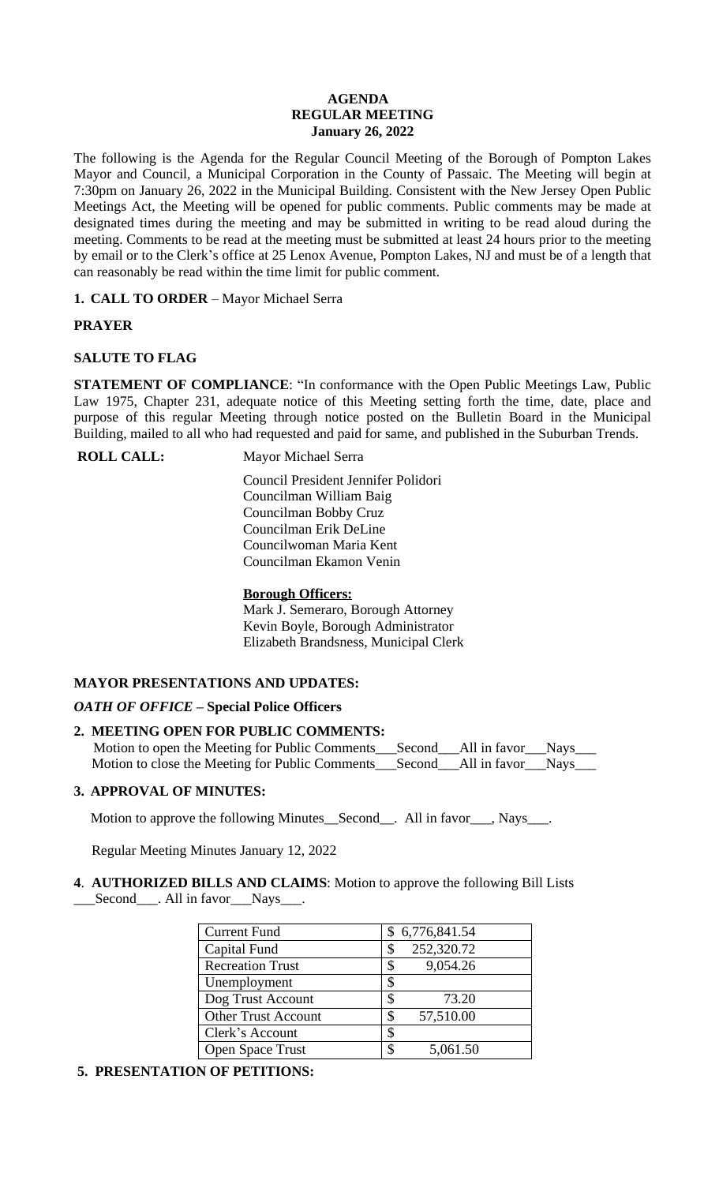### **AGENDA REGULAR MEETING January 26, 2022**

The following is the Agenda for the Regular Council Meeting of the Borough of Pompton Lakes Mayor and Council, a Municipal Corporation in the County of Passaic. The Meeting will begin at 7:30pm on January 26, 2022 in the Municipal Building. Consistent with the New Jersey Open Public Meetings Act, the Meeting will be opened for public comments. Public comments may be made at designated times during the meeting and may be submitted in writing to be read aloud during the meeting. Comments to be read at the meeting must be submitted at least 24 hours prior to the meeting by email or to the Clerk's office at 25 Lenox Avenue, Pompton Lakes, NJ and must be of a length that can reasonably be read within the time limit for public comment.

**1. CALL TO ORDER** – Mayor Michael Serra

# **PRAYER**

# **SALUTE TO FLAG**

**STATEMENT OF COMPLIANCE**: "In conformance with the Open Public Meetings Law, Public Law 1975, Chapter 231, adequate notice of this Meeting setting forth the time, date, place and purpose of this regular Meeting through notice posted on the Bulletin Board in the Municipal Building, mailed to all who had requested and paid for same, and published in the Suburban Trends.

**ROLL CALL:** Mayor Michael Serra

 Council President Jennifer Polidori Councilman William Baig Councilman Bobby Cruz Councilman Erik DeLine Councilwoman Maria Kent Councilman Ekamon Venin

# **Borough Officers:**

Mark J. Semeraro, Borough Attorney Kevin Boyle, Borough Administrator Elizabeth Brandsness, Municipal Clerk

# **MAYOR PRESENTATIONS AND UPDATES:**

# *OATH OF OFFICE* **– Special Police Officers**

# **2. MEETING OPEN FOR PUBLIC COMMENTS:**

Motion to open the Meeting for Public Comments\_\_\_Second\_\_\_All in favor\_\_\_Nays\_\_\_ Motion to close the Meeting for Public Comments\_\_\_Second\_\_\_All in favor\_\_\_Nays\_\_\_

# **3. APPROVAL OF MINUTES:**

Motion to approve the following Minutes\_Second\_\_. All in favor\_\_\_, Nays\_\_\_.

Regular Meeting Minutes January 12, 2022

**4**. **AUTHORIZED BILLS AND CLAIMS**: Motion to approve the following Bill Lists \_\_\_Second\_\_\_. All in favor\_\_\_Nays\_\_\_.

| <b>Current Fund</b>        | \$6,776,841.54   |
|----------------------------|------------------|
| Capital Fund               | 252,320.72<br>\$ |
| <b>Recreation Trust</b>    | 9,054.26<br>\$   |
| Unemployment               | \$               |
| Dog Trust Account          | \$<br>73.20      |
| <b>Other Trust Account</b> | 57,510.00<br>S   |
| Clerk's Account            | \$               |
| <b>Open Space Trust</b>    | 5,061.50         |

# **5. PRESENTATION OF PETITIONS:**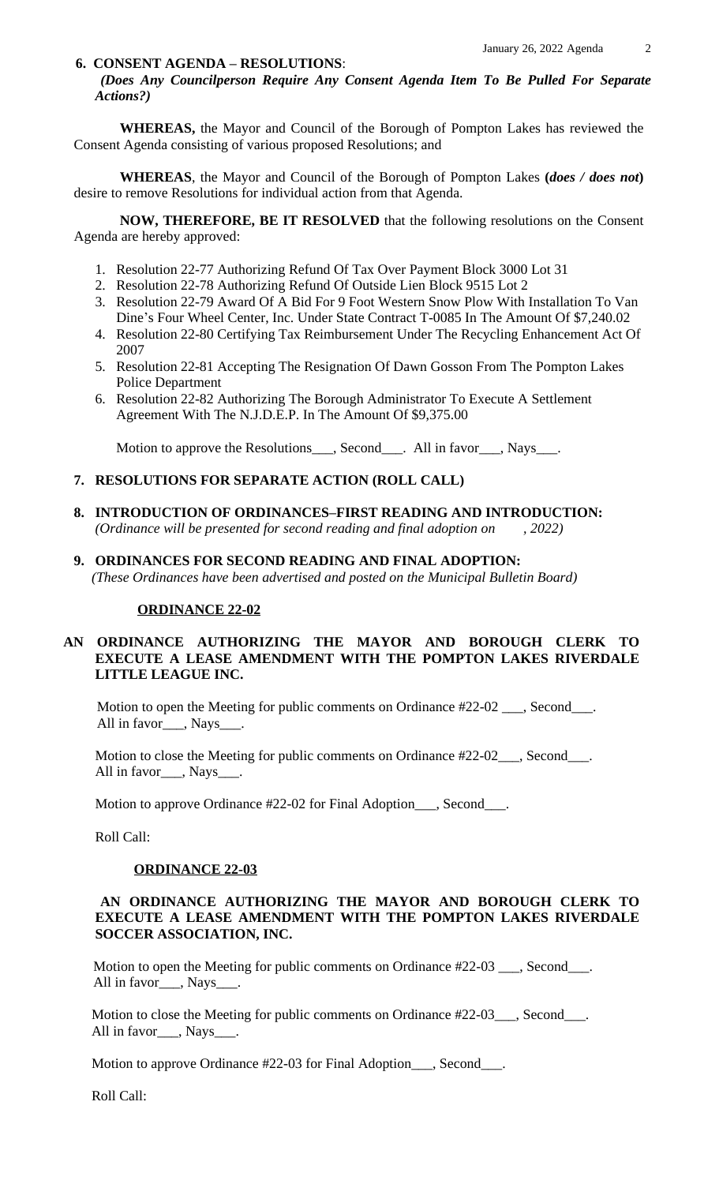#### **6. CONSENT AGENDA – RESOLUTIONS**:

*(Does Any Councilperson Require Any Consent Agenda Item To Be Pulled For Separate Actions?)*

**WHEREAS,** the Mayor and Council of the Borough of Pompton Lakes has reviewed the Consent Agenda consisting of various proposed Resolutions; and

**WHEREAS**, the Mayor and Council of the Borough of Pompton Lakes **(***does / does not***)** desire to remove Resolutions for individual action from that Agenda.

**NOW, THEREFORE, BE IT RESOLVED** that the following resolutions on the Consent Agenda are hereby approved:

- 1. Resolution 22-77 Authorizing Refund Of Tax Over Payment Block 3000 Lot 31
- 2. Resolution 22-78 Authorizing Refund Of Outside Lien Block 9515 Lot 2
- 3. Resolution 22-79 Award Of A Bid For 9 Foot Western Snow Plow With Installation To Van Dine's Four Wheel Center, Inc. Under State Contract T-0085 In The Amount Of \$7,240.02
- 4. Resolution 22-80 Certifying Tax Reimbursement Under The Recycling Enhancement Act Of 2007
- 5. Resolution 22-81 Accepting The Resignation Of Dawn Gosson From The Pompton Lakes Police Department
- 6. Resolution 22-82 Authorizing The Borough Administrator To Execute A Settlement Agreement With The N.J.D.E.P. In The Amount Of \$9,375.00

Motion to approve the Resolutions\_\_\_, Second\_\_\_. All in favor\_\_\_, Nays\_\_\_.

#### **7. RESOLUTIONS FOR SEPARATE ACTION (ROLL CALL)**

- **8. INTRODUCTION OF ORDINANCES–FIRST READING AND INTRODUCTION:**  *(Ordinance will be presented for second reading and final adoption on , 2022)*
- **9. ORDINANCES FOR SECOND READING AND FINAL ADOPTION:**

 *(These Ordinances have been advertised and posted on the Municipal Bulletin Board)*

## **ORDINANCE 22-02**

# **AN ORDINANCE AUTHORIZING THE MAYOR AND BOROUGH CLERK TO EXECUTE A LEASE AMENDMENT WITH THE POMPTON LAKES RIVERDALE LITTLE LEAGUE INC.**

Motion to open the Meeting for public comments on Ordinance #22-02 \_\_\_, Second\_\_\_. All in favor\_\_\_, Nays\_\_\_\_.

Motion to close the Meeting for public comments on Ordinance #22-02\_\_\_, Second\_\_\_. All in favor<sub>\_\_\_\_</sub>, Nays\_\_\_

Motion to approve Ordinance #22-02 for Final Adoption\_\_\_, Second\_\_\_.

Roll Call:

#### **ORDINANCE 22-03**

### **AN ORDINANCE AUTHORIZING THE MAYOR AND BOROUGH CLERK TO EXECUTE A LEASE AMENDMENT WITH THE POMPTON LAKES RIVERDALE SOCCER ASSOCIATION, INC.**

Motion to open the Meeting for public comments on Ordinance #22-03 \_\_\_, Second\_\_\_. All in favor\_\_\_, Nays\_\_\_.

Motion to close the Meeting for public comments on Ordinance #22-03\_\_\_, Second\_\_\_. All in favor\_\_\_, Nays\_\_\_.

Motion to approve Ordinance #22-03 for Final Adoption\_\_\_, Second\_\_\_.

Roll Call: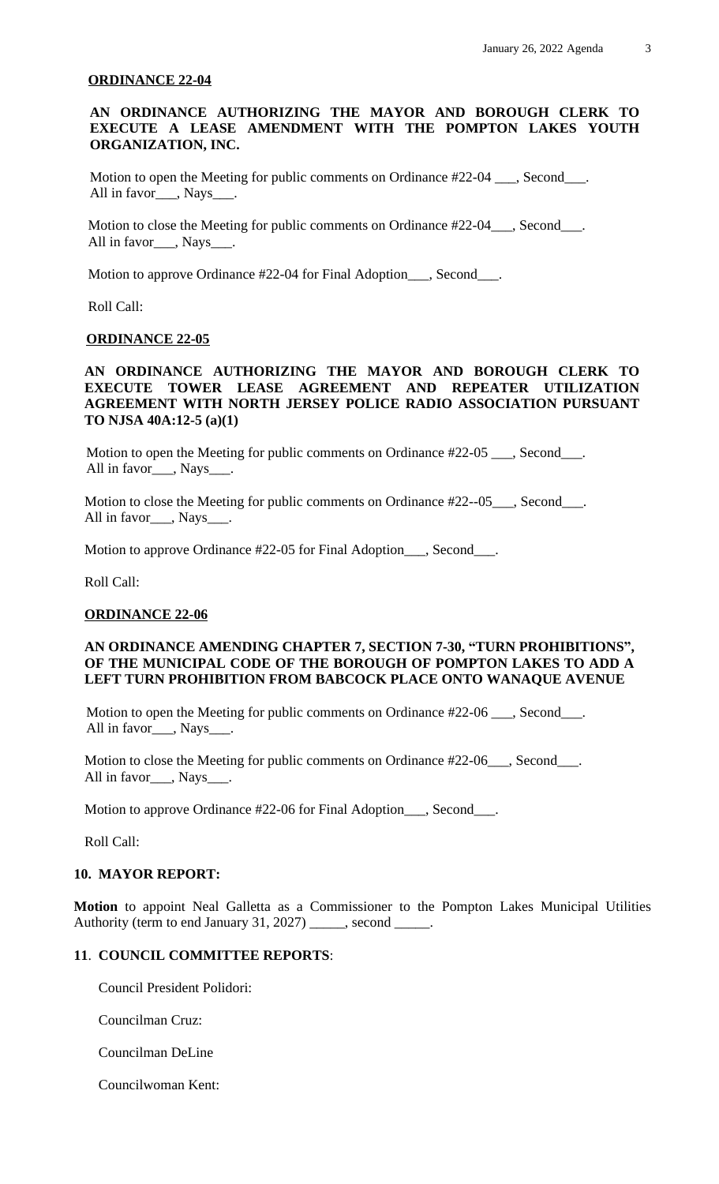#### **ORDINANCE 22-04**

### **AN ORDINANCE AUTHORIZING THE MAYOR AND BOROUGH CLERK TO EXECUTE A LEASE AMENDMENT WITH THE POMPTON LAKES YOUTH ORGANIZATION, INC.**

Motion to open the Meeting for public comments on Ordinance #22-04 \_\_\_, Second\_\_\_. All in favor , Nays .

Motion to close the Meeting for public comments on Ordinance #22-04\_\_\_, Second\_\_\_. All in favor\_\_\_, Nays\_\_\_.

Motion to approve Ordinance #22-04 for Final Adoption\_\_\_, Second\_\_\_.

Roll Call:

#### **ORDINANCE 22-05**

### **AN ORDINANCE AUTHORIZING THE MAYOR AND BOROUGH CLERK TO EXECUTE TOWER LEASE AGREEMENT AND REPEATER UTILIZATION AGREEMENT WITH NORTH JERSEY POLICE RADIO ASSOCIATION PURSUANT TO NJSA 40A:12-5 (a)(1)**

Motion to open the Meeting for public comments on Ordinance #22-05 \_\_\_, Second\_\_\_. All in favor\_\_\_, Nays\_\_\_.

Motion to close the Meeting for public comments on Ordinance #22--05\_\_\_, Second\_\_\_. All in favor\_\_\_, Nays\_

Motion to approve Ordinance #22-05 for Final Adoption\_\_\_, Second\_\_\_.

Roll Call:

#### **ORDINANCE 22-06**

### **AN ORDINANCE AMENDING CHAPTER 7, SECTION 7-30, "TURN PROHIBITIONS" , OF THE MUNICIPAL CODE OF THE BOROUGH OF POMPTON LAKES TO ADD A LEFT TURN PROHIBITION FROM BABCOCK PLACE ONTO WANAQUE AVENUE**

Motion to open the Meeting for public comments on Ordinance #22-06 \_\_\_, Second\_\_\_. All in favor\_\_\_, Nays\_\_\_.

Motion to close the Meeting for public comments on Ordinance #22-06\_\_\_, Second\_\_\_. All in favor\_\_\_, Nays\_\_\_.

Motion to approve Ordinance #22-06 for Final Adoption\_\_\_, Second\_\_\_.

Roll Call:

### **10. MAYOR REPORT:**

**Motion** to appoint Neal Galletta as a Commissioner to the Pompton Lakes Municipal Utilities Authority (term to end January 31, 2027) \_\_\_\_\_, second \_\_\_\_\_.

### **11**. **COUNCIL COMMITTEE REPORTS**:

Council President Polidori:

Councilman Cruz:

Councilman DeLine

Councilwoman Kent: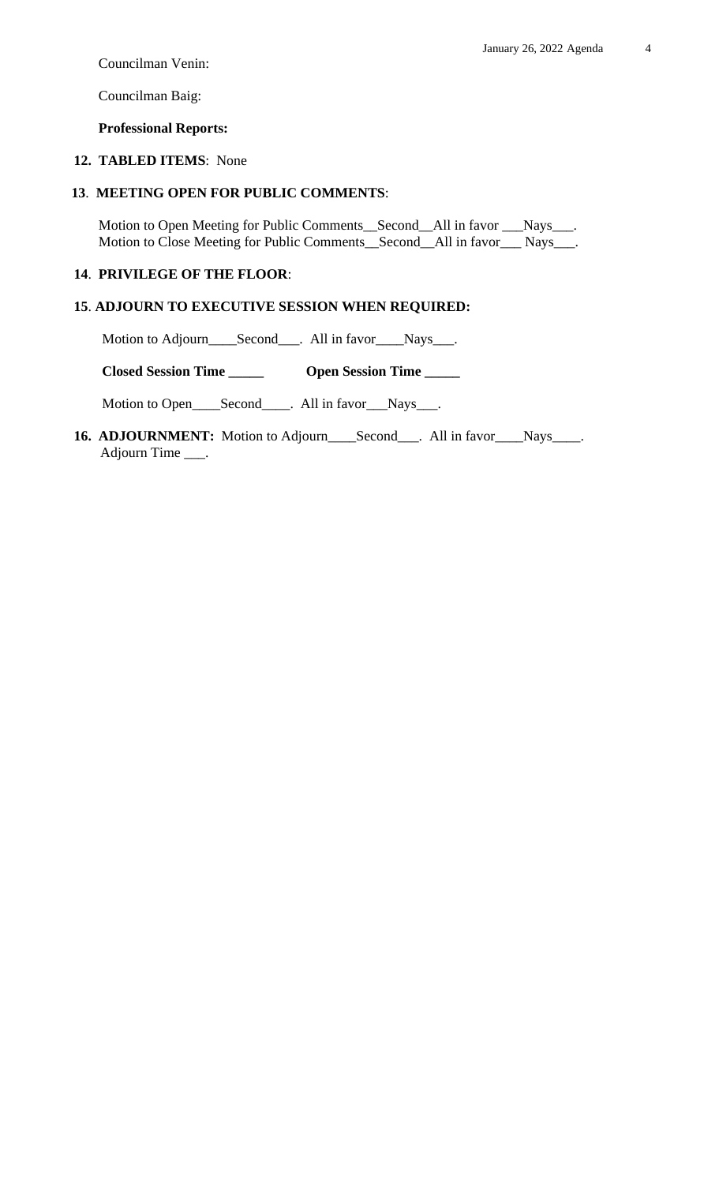Councilman Venin:

Councilman Baig:

## **Professional Reports:**

# **12. TABLED ITEMS**: None

# **13**. **MEETING OPEN FOR PUBLIC COMMENTS**:

 Motion to Open Meeting for Public Comments\_\_Second\_\_All in favor \_\_\_Nays\_\_\_. Motion to Close Meeting for Public Comments\_\_Second\_\_All in favor\_\_\_ Nays\_\_\_.

# **14**. **PRIVILEGE OF THE FLOOR**:

### **15**. **ADJOURN TO EXECUTIVE SESSION WHEN REQUIRED:**

Motion to Adjourn\_\_\_\_Second\_\_\_. All in favor\_\_\_\_Nays\_\_\_.

 **Closed Session Time \_\_\_\_\_ Open Session Time \_\_\_\_\_**

Motion to Open\_\_\_\_Second\_\_\_\_. All in favor\_\_\_Nays\_\_\_.

16. **ADJOURNMENT:** Motion to Adjourn\_\_\_\_Second\_\_\_. All in favor\_\_\_\_Nays\_\_\_\_. Adjourn Time \_\_\_.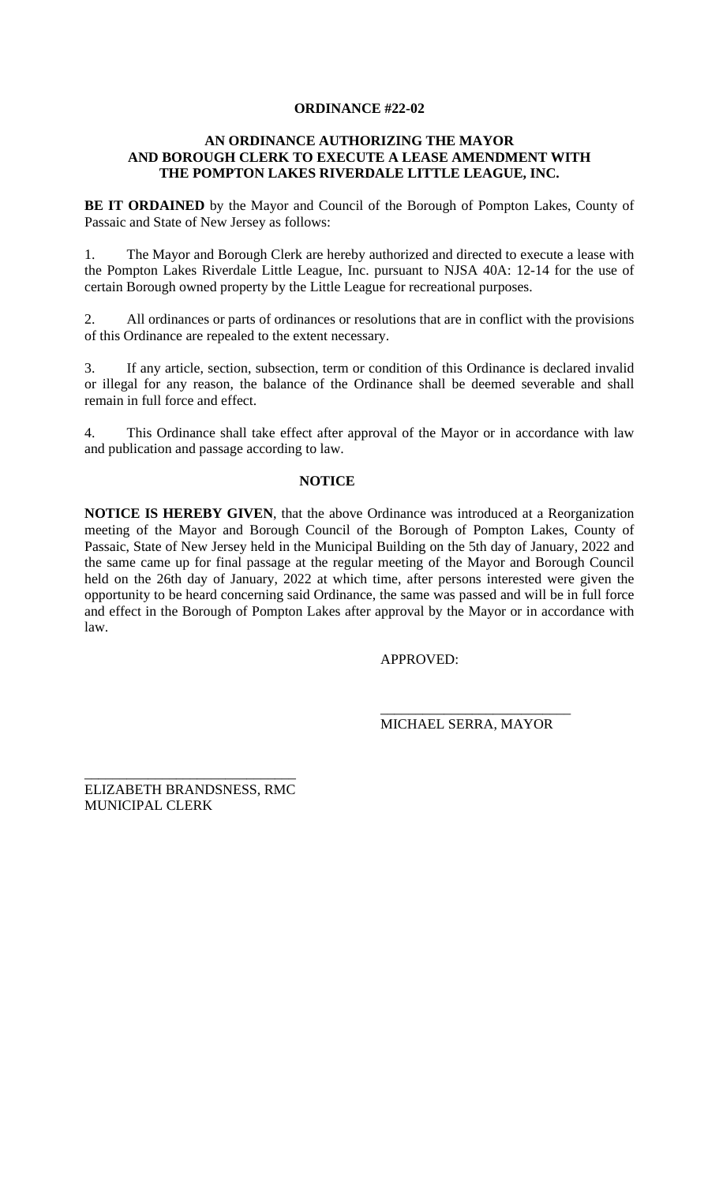# **ORDINANCE #22-02**

# **AN ORDINANCE AUTHORIZING THE MAYOR AND BOROUGH CLERK TO EXECUTE A LEASE AMENDMENT WITH THE POMPTON LAKES RIVERDALE LITTLE LEAGUE, INC.**

**BE IT ORDAINED** by the Mayor and Council of the Borough of Pompton Lakes, County of Passaic and State of New Jersey as follows:

1. The Mayor and Borough Clerk are hereby authorized and directed to execute a lease with the Pompton Lakes Riverdale Little League, Inc. pursuant to NJSA 40A: 12-14 for the use of certain Borough owned property by the Little League for recreational purposes.

2. All ordinances or parts of ordinances or resolutions that are in conflict with the provisions of this Ordinance are repealed to the extent necessary.

3. If any article, section, subsection, term or condition of this Ordinance is declared invalid or illegal for any reason, the balance of the Ordinance shall be deemed severable and shall remain in full force and effect.

4. This Ordinance shall take effect after approval of the Mayor or in accordance with law and publication and passage according to law.

### **NOTICE**

**NOTICE IS HEREBY GIVEN**, that the above Ordinance was introduced at a Reorganization meeting of the Mayor and Borough Council of the Borough of Pompton Lakes, County of Passaic, State of New Jersey held in the Municipal Building on the 5th day of January, 2022 and the same came up for final passage at the regular meeting of the Mayor and Borough Council held on the 26th day of January, 2022 at which time, after persons interested were given the opportunity to be heard concerning said Ordinance, the same was passed and will be in full force and effect in the Borough of Pompton Lakes after approval by the Mayor or in accordance with law.

APPROVED:

\_\_\_\_\_\_\_\_\_\_\_\_\_\_\_\_\_\_\_\_\_\_\_\_\_\_\_ MICHAEL SERRA, MAYOR

\_\_\_\_\_\_\_\_\_\_\_\_\_\_\_\_\_\_\_\_\_\_\_\_\_\_\_\_\_\_ ELIZABETH BRANDSNESS, RMC MUNICIPAL CLERK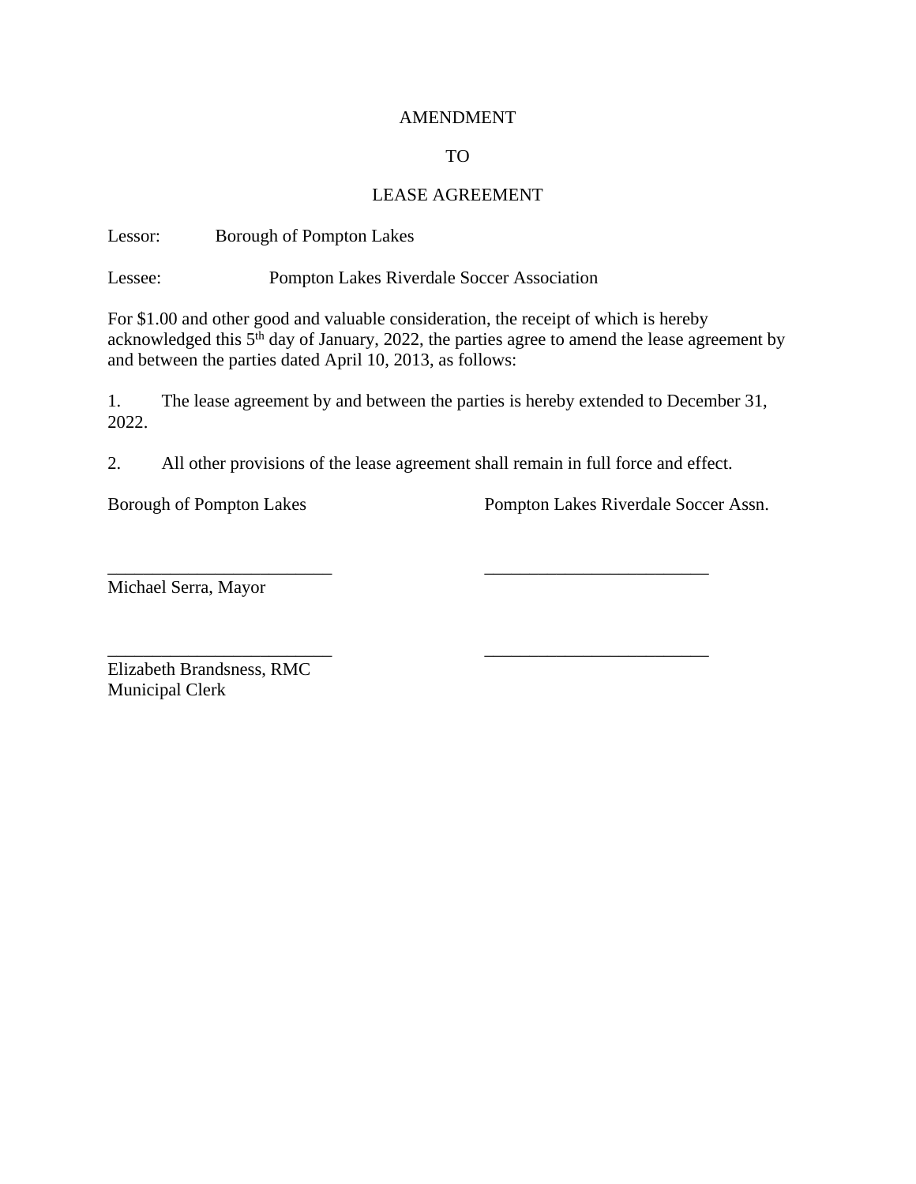#### AMENDMENT

### TO

#### LEASE AGREEMENT

Lessor: Borough of Pompton Lakes

Lessee: Pompton Lakes Riverdale Soccer Association

For \$1.00 and other good and valuable consideration, the receipt of which is hereby acknowledged this 5<sup>th</sup> day of January, 2022, the parties agree to amend the lease agreement by and between the parties dated April 10, 2013, as follows:

1. The lease agreement by and between the parties is hereby extended to December 31, 2022.

2. All other provisions of the lease agreement shall remain in full force and effect.

\_\_\_\_\_\_\_\_\_\_\_\_\_\_\_\_\_\_\_\_\_\_\_\_\_ \_\_\_\_\_\_\_\_\_\_\_\_\_\_\_\_\_\_\_\_\_\_\_\_\_

Borough of Pompton Lakes Pompton Lakes Riverdale Soccer Assn.

Michael Serra, Mayor

\_\_\_\_\_\_\_\_\_\_\_\_\_\_\_\_\_\_\_\_\_\_\_\_\_ \_\_\_\_\_\_\_\_\_\_\_\_\_\_\_\_\_\_\_\_\_\_\_\_\_ Elizabeth Brandsness, RMC Municipal Clerk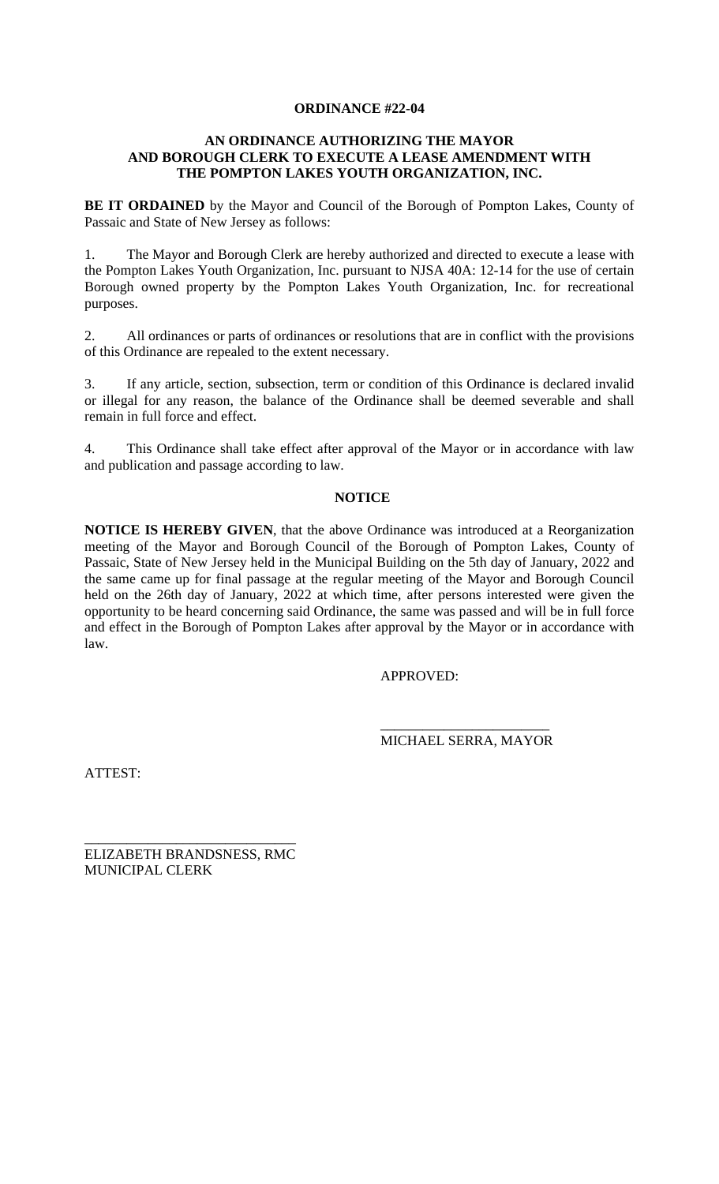# **ORDINANCE #22-04**

# **AN ORDINANCE AUTHORIZING THE MAYOR AND BOROUGH CLERK TO EXECUTE A LEASE AMENDMENT WITH THE POMPTON LAKES YOUTH ORGANIZATION, INC.**

**BE IT ORDAINED** by the Mayor and Council of the Borough of Pompton Lakes, County of Passaic and State of New Jersey as follows:

1. The Mayor and Borough Clerk are hereby authorized and directed to execute a lease with the Pompton Lakes Youth Organization, Inc. pursuant to NJSA 40A: 12-14 for the use of certain Borough owned property by the Pompton Lakes Youth Organization, Inc. for recreational purposes.

2. All ordinances or parts of ordinances or resolutions that are in conflict with the provisions of this Ordinance are repealed to the extent necessary.

3. If any article, section, subsection, term or condition of this Ordinance is declared invalid or illegal for any reason, the balance of the Ordinance shall be deemed severable and shall remain in full force and effect.

4. This Ordinance shall take effect after approval of the Mayor or in accordance with law and publication and passage according to law.

### **NOTICE**

**NOTICE IS HEREBY GIVEN**, that the above Ordinance was introduced at a Reorganization meeting of the Mayor and Borough Council of the Borough of Pompton Lakes, County of Passaic, State of New Jersey held in the Municipal Building on the 5th day of January, 2022 and the same came up for final passage at the regular meeting of the Mayor and Borough Council held on the 26th day of January, 2022 at which time, after persons interested were given the opportunity to be heard concerning said Ordinance, the same was passed and will be in full force and effect in the Borough of Pompton Lakes after approval by the Mayor or in accordance with law.

APPROVED:

\_\_\_\_\_\_\_\_\_\_\_\_\_\_\_\_\_\_\_\_\_\_\_\_ MICHAEL SERRA, MAYOR

ATTEST:

\_\_\_\_\_\_\_\_\_\_\_\_\_\_\_\_\_\_\_\_\_\_\_\_\_\_\_\_\_\_ ELIZABETH BRANDSNESS, RMC MUNICIPAL CLERK